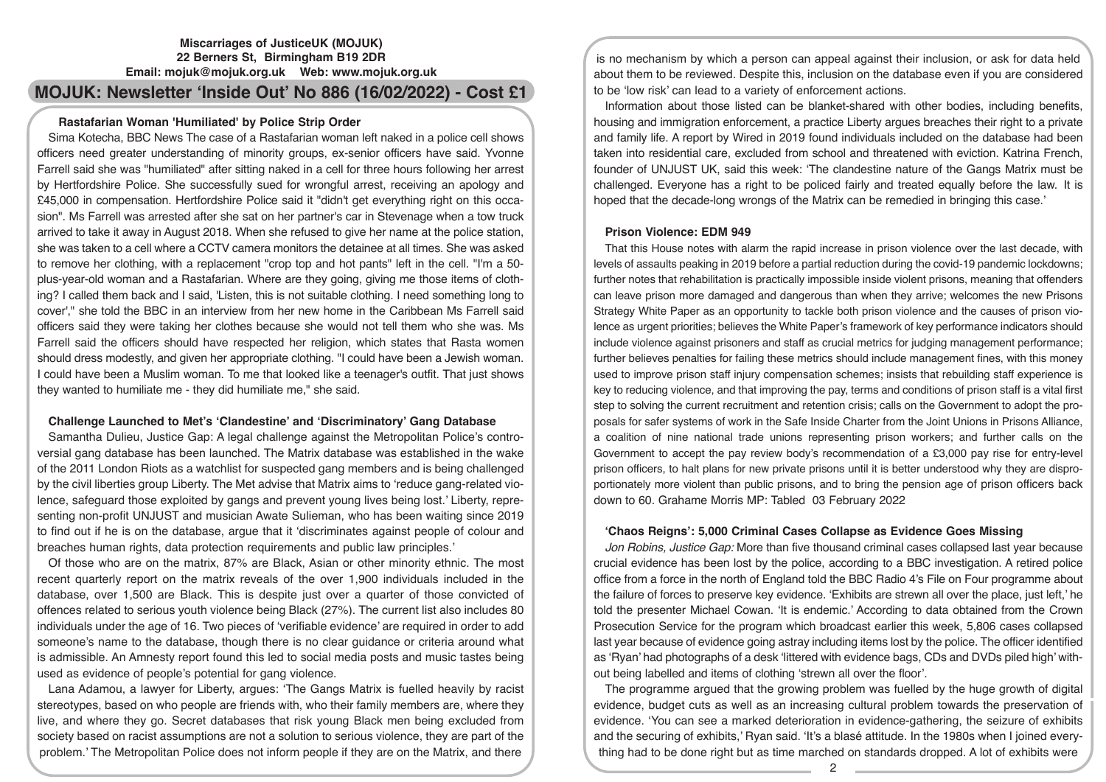# **Miscarriages of JusticeUK (MOJUK) 22 Berners St, Birmingham B19 2DR Email: mojuk@mojuk.org.uk Web: www.mojuk.org.uk**

# **MOJUK: Newsletter 'Inside Out' No 886 (16/02/2022) - Cost £1**

# **Rastafarian Woman 'Humiliated' by Police Strip Order**

Sima Kotecha, BBC News The case of a Rastafarian woman left naked in a police cell shows officers need greater understanding of minority groups, ex-senior officers have said. Yvonne Farrell said she was "humiliated" after sitting naked in a cell for three hours following her arrest by Hertfordshire Police. She successfully sued for wrongful arrest, receiving an apology and £45,000 in compensation. Hertfordshire Police said it "didn't get everything right on this occasion". Ms Farrell was arrested after she sat on her partner's car in Stevenage when a tow truck arrived to take it away in August 2018. When she refused to give her name at the police station, she was taken to a cell where a CCTV camera monitors the detainee at all times. She was asked to remove her clothing, with a replacement "crop top and hot pants" left in the cell. "I'm a 50 plus-year-old woman and a Rastafarian. Where are they going, giving me those items of clothing? I called them back and I said, 'Listen, this is not suitable clothing. I need something long to cover'," she told the BBC in an interview from her new home in the Caribbean Ms Farrell said officers said they were taking her clothes because she would not tell them who she was. Ms Farrell said the officers should have respected her religion, which states that Rasta women should dress modestly, and given her appropriate clothing. "I could have been a Jewish woman. I could have been a Muslim woman. To me that looked like a teenager's outfit. That just shows they wanted to humiliate me - they did humiliate me," she said.

# **Challenge Launched to Met's 'Clandestine' and 'Discriminatory' Gang Database**

Samantha Dulieu, Justice Gap: A legal challenge against the Metropolitan Police's controversial gang database has been launched. The Matrix database was established in the wake of the 2011 London Riots as a watchlist for suspected gang members and is being challenged by the civil liberties group Liberty. The Met advise that Matrix aims to 'reduce gang-related violence, safeguard those exploited by gangs and prevent young lives being lost.' Liberty, representing non-profit UNJUST and musician Awate Sulieman, who has been waiting since 2019 to find out if he is on the database, argue that it 'discriminates against people of colour and breaches human rights, data protection requirements and public law principles.'

Of those who are on the matrix, 87% are Black, Asian or other minority ethnic. The most recent quarterly report on the matrix reveals of the over 1,900 individuals included in the database, over 1,500 are Black. This is despite just over a quarter of those convicted of offences related to serious youth violence being Black (27%). The current list also includes 80 individuals under the age of 16. Two pieces of 'verifiable evidence' are required in order to add someone's name to the database, though there is no clear guidance or criteria around what is admissible. An Amnesty report found this led to social media posts and music tastes being used as evidence of people's potential for gang violence.

Lana Adamou, a lawyer for Liberty, argues: 'The Gangs Matrix is fuelled heavily by racist stereotypes, based on who people are friends with, who their family members are, where they live, and where they go. Secret databases that risk young Black men being excluded from society based on racist assumptions are not a solution to serious violence, they are part of the problem.' The Metropolitan Police does not inform people if they are on the Matrix, and there

is no mechanism by which a person can appeal against their inclusion, or ask for data held about them to be reviewed. Despite this, inclusion on the database even if you are considered to be 'low risk' can lead to a variety of enforcement actions.

Information about those listed can be blanket-shared with other bodies, including benefits, housing and immigration enforcement, a practice Liberty argues breaches their right to a private and family life. A report by Wired in 2019 found individuals included on the database had been taken into residential care, excluded from school and threatened with eviction. Katrina French, founder of UNJUST UK, said this week: 'The clandestine nature of the Gangs Matrix must be challenged. Everyone has a right to be policed fairly and treated equally before the law. It is hoped that the decade-long wrongs of the Matrix can be remedied in bringing this case.'

# **Prison Violence: EDM 949**

That this House notes with alarm the rapid increase in prison violence over the last decade, with levels of assaults peaking in 2019 before a partial reduction during the covid-19 pandemic lockdowns; further notes that rehabilitation is practically impossible inside violent prisons, meaning that offenders can leave prison more damaged and dangerous than when they arrive; welcomes the new Prisons Strategy White Paper as an opportunity to tackle both prison violence and the causes of prison violence as urgent priorities; believes the White Paper's framework of key performance indicators should include violence against prisoners and staff as crucial metrics for judging management performance; further believes penalties for failing these metrics should include management fines, with this money used to improve prison staff injury compensation schemes; insists that rebuilding staff experience is key to reducing violence, and that improving the pay, terms and conditions of prison staff is a vital first step to solving the current recruitment and retention crisis; calls on the Government to adopt the proposals for safer systems of work in the Safe Inside Charter from the Joint Unions in Prisons Alliance, a coalition of nine national trade unions representing prison workers; and further calls on the Government to accept the pay review body's recommendation of a £3,000 pay rise for entry-level prison officers, to halt plans for new private prisons until it is better understood why they are disproportionately more violent than public prisons, and to bring the pension age of prison officers back down to 60. Grahame Morris MP: Tabled 03 February 2022

# **'Chaos Reigns': 5,000 Criminal Cases Collapse as Evidence Goes Missing**

*Jon Robins, Justice Gap:* More than five thousand criminal cases collapsed last year because crucial evidence has been lost by the police, according to a BBC investigation. A retired police office from a force in the north of England told the BBC Radio 4's File on Four programme about the failure of forces to preserve key evidence. 'Exhibits are strewn all over the place, just left,' he told the presenter Michael Cowan. 'It is endemic.' According to data obtained from the Crown Prosecution Service for the program which broadcast earlier this week, 5,806 cases collapsed last year because of evidence going astray including items lost by the police. The officer identified as 'Ryan' had photographs of a desk 'littered with evidence bags, CDs and DVDs piled high' without being labelled and items of clothing 'strewn all over the floor'.

The programme argued that the growing problem was fuelled by the huge growth of digital evidence, budget cuts as well as an increasing cultural problem towards the preservation of evidence. 'You can see a marked deterioration in evidence-gathering, the seizure of exhibits and the securing of exhibits,' Ryan said. 'It's a blasé attitude. In the 1980s when I joined everything had to be done right but as time marched on standards dropped. A lot of exhibits were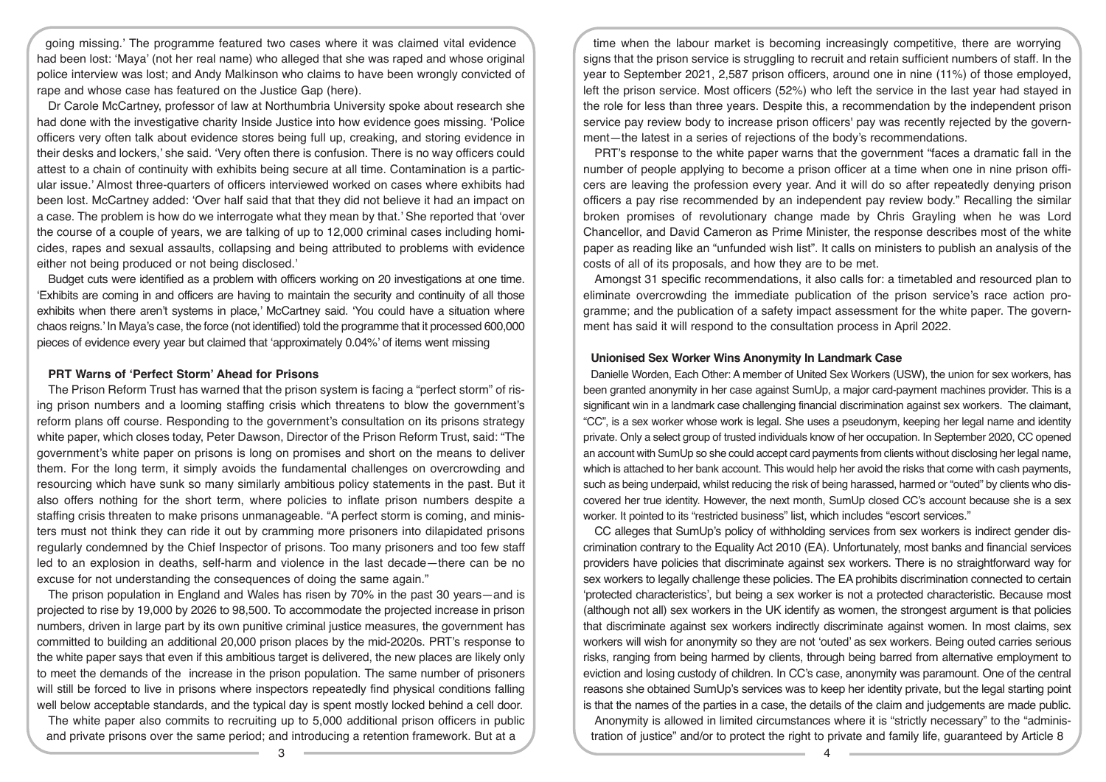going missing.' The programme featured two cases where it was claimed vital evidence had been lost: 'Maya' (not her real name) who alleged that she was raped and whose original police interview was lost; and Andy Malkinson who claims to have been wrongly convicted of rape and whose case has featured on the Justice Gap (here).

Dr Carole McCartney, professor of law at Northumbria University spoke about research she had done with the investigative charity Inside Justice into how evidence goes missing. 'Police officers very often talk about evidence stores being full up, creaking, and storing evidence in their desks and lockers,' she said. 'Very often there is confusion. There is no way officers could attest to a chain of continuity with exhibits being secure at all time. Contamination is a particular issue.' Almost three-quarters of officers interviewed worked on cases where exhibits had been lost. McCartney added: 'Over half said that that they did not believe it had an impact on a case. The problem is how do we interrogate what they mean by that.' She reported that 'over the course of a couple of years, we are talking of up to 12,000 criminal cases including homicides, rapes and sexual assaults, collapsing and being attributed to problems with evidence either not being produced or not being disclosed.'

Budget cuts were identified as a problem with officers working on 20 investigations at one time. 'Exhibits are coming in and officers are having to maintain the security and continuity of all those exhibits when there aren't systems in place,' McCartney said. 'You could have a situation where chaos reigns.' In Maya's case, the force (not identified) told the programme that it processed 600,000 pieces of evidence every year but claimed that 'approximately 0.04%' of items went missing

## **PRT Warns of 'Perfect Storm' Ahead for Prisons**

The Prison Reform Trust has warned that the prison system is facing a "perfect storm" of rising prison numbers and a looming staffing crisis which threatens to blow the government's reform plans off course. Responding to the government's consultation on its prisons strategy white paper, which closes today, Peter Dawson, Director of the Prison Reform Trust, said: "The government's white paper on prisons is long on promises and short on the means to deliver them. For the long term, it simply avoids the fundamental challenges on overcrowding and resourcing which have sunk so many similarly ambitious policy statements in the past. But it also offers nothing for the short term, where policies to inflate prison numbers despite a staffing crisis threaten to make prisons unmanageable. "A perfect storm is coming, and ministers must not think they can ride it out by cramming more prisoners into dilapidated prisons regularly condemned by the Chief Inspector of prisons. Too many prisoners and too few staff led to an explosion in deaths, self-harm and violence in the last decade—there can be no excuse for not understanding the consequences of doing the same again."

The prison population in England and Wales has risen by 70% in the past 30 years—and is projected to rise by 19,000 by 2026 to 98,500. To accommodate the projected increase in prison numbers, driven in large part by its own punitive criminal justice measures, the government has committed to building an additional 20,000 prison places by the mid-2020s. PRT's response to the white paper says that even if this ambitious target is delivered, the new places are likely only to meet the demands of the increase in the prison population. The same number of prisoners will still be forced to live in prisons where inspectors repeatedly find physical conditions falling well below acceptable standards, and the typical day is spent mostly locked behind a cell door.

The white paper also commits to recruiting up to 5,000 additional prison officers in public and private prisons over the same period; and introducing a retention framework. But at a

time when the labour market is becoming increasingly competitive, there are worrying signs that the prison service is struggling to recruit and retain sufficient numbers of staff. In the year to September 2021, 2,587 prison officers, around one in nine (11%) of those employed, left the prison service. Most officers (52%) who left the service in the last year had stayed in the role for less than three years. Despite this, a recommendation by the independent prison service pay review body to increase prison officers' pay was recently rejected by the government—the latest in a series of rejections of the body's recommendations.

PRT's response to the white paper warns that the government "faces a dramatic fall in the number of people applying to become a prison officer at a time when one in nine prison officers are leaving the profession every year. And it will do so after repeatedly denying prison officers a pay rise recommended by an independent pay review body." Recalling the similar broken promises of revolutionary change made by Chris Grayling when he was Lord Chancellor, and David Cameron as Prime Minister, the response describes most of the white paper as reading like an "unfunded wish list". It calls on ministers to publish an analysis of the costs of all of its proposals, and how they are to be met.

Amongst 31 specific recommendations, it also calls for: a timetabled and resourced plan to eliminate overcrowding the immediate publication of the prison service's race action programme; and the publication of a safety impact assessment for the white paper. The government has said it will respond to the consultation process in April 2022.

## **Unionised Sex Worker Wins Anonymity In Landmark Case**

Danielle Worden, Each Other: A member of United Sex Workers (USW), the union for sex workers, has been granted anonymity in her case against SumUp, a major card-payment machines provider. This is a significant win in a landmark case challenging financial discrimination against sex workers. The claimant, "CC", is a sex worker whose work is legal. She uses a pseudonym, keeping her legal name and identity private. Only a select group of trusted individuals know of her occupation. In September 2020, CC opened an account with SumUp so she could accept card payments from clients without disclosing her legal name, which is attached to her bank account. This would help her avoid the risks that come with cash payments, such as being underpaid, whilst reducing the risk of being harassed, harmed or "outed" by clients who discovered her true identity. However, the next month, SumUp closed CC's account because she is a sex worker. It pointed to its "restricted business" list, which includes "escort services."

CC alleges that SumUp's policy of withholding services from sex workers is indirect gender discrimination contrary to the Equality Act 2010 (EA). Unfortunately, most banks and financial services providers have policies that discriminate against sex workers. There is no straightforward way for sex workers to legally challenge these policies. The EA prohibits discrimination connected to certain 'protected characteristics', but being a sex worker is not a protected characteristic. Because most (although not all) sex workers in the UK identify as women, the strongest argument is that policies that discriminate against sex workers indirectly discriminate against women. In most claims, sex workers will wish for anonymity so they are not 'outed' as sex workers. Being outed carries serious risks, ranging from being harmed by clients, through being barred from alternative employment to eviction and losing custody of children. In CC's case, anonymity was paramount. One of the central reasons she obtained SumUp's services was to keep her identity private, but the legal starting point is that the names of the parties in a case, the details of the claim and judgements are made public. Anonymity is allowed in limited circumstances where it is "strictly necessary" to the "administration of justice" and/or to protect the right to private and family life, guaranteed by Article 8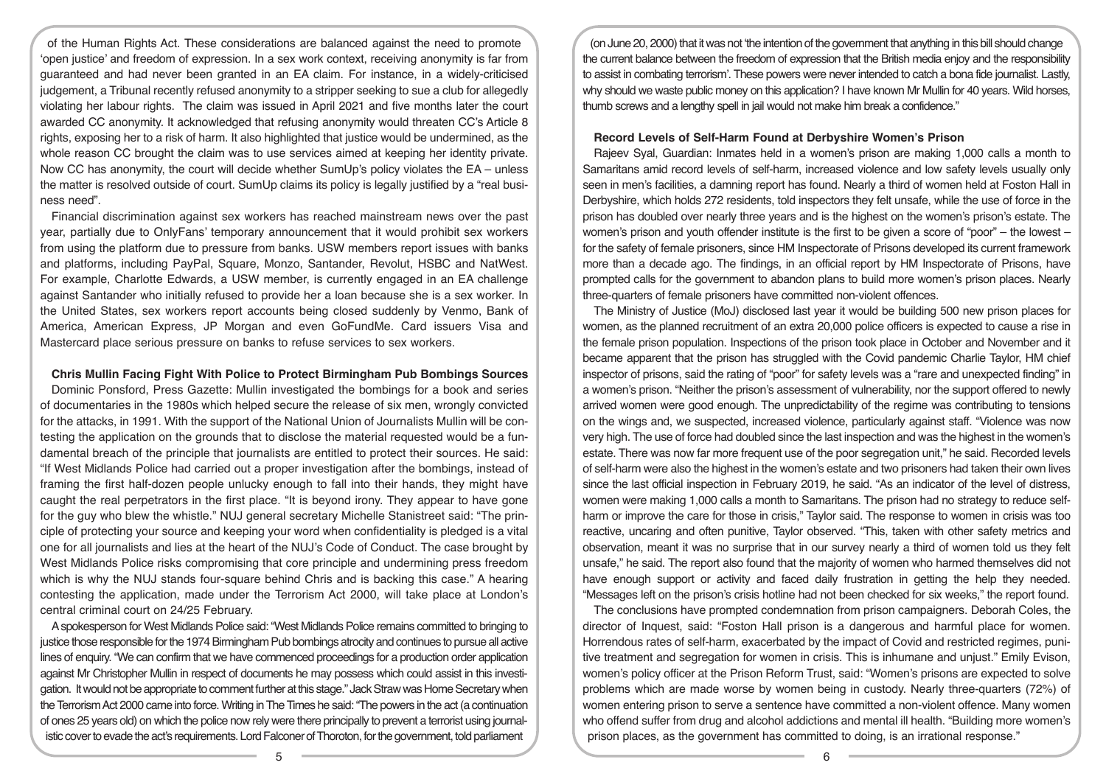of the Human Rights Act. These considerations are balanced against the need to promote 'open justice' and freedom of expression. In a sex work context, receiving anonymity is far from guaranteed and had never been granted in an EA claim. For instance, in a widely-criticised judgement, a Tribunal recently refused anonymity to a stripper seeking to sue a club for allegedly violating her labour rights. The claim was issued in April 2021 and five months later the court awarded CC anonymity. It acknowledged that refusing anonymity would threaten CC's Article 8 rights, exposing her to a risk of harm. It also highlighted that justice would be undermined, as the whole reason CC brought the claim was to use services aimed at keeping her identity private. Now CC has anonymity, the court will decide whether SumUp's policy violates the EA – unless the matter is resolved outside of court. SumUp claims its policy is legally justified by a "real business need".

Financial discrimination against sex workers has reached mainstream news over the past year, partially due to OnlyFans' temporary announcement that it would prohibit sex workers from using the platform due to pressure from banks. USW members report issues with banks and platforms, including PayPal, Square, Monzo, Santander, Revolut, HSBC and NatWest. For example, Charlotte Edwards, a USW member, is currently engaged in an EA challenge against Santander who initially refused to provide her a loan because she is a sex worker. In the United States, sex workers report accounts being closed suddenly by Venmo, Bank of America, American Express, JP Morgan and even GoFundMe. Card issuers Visa and Mastercard place serious pressure on banks to refuse services to sex workers.

#### **Chris Mullin Facing Fight With Police to Protect Birmingham Pub Bombings Sources**

Dominic Ponsford, Press Gazette: Mullin investigated the bombings for a book and series of documentaries in the 1980s which helped secure the release of six men, wrongly convicted for the attacks, in 1991. With the support of the National Union of Journalists Mullin will be contesting the application on the grounds that to disclose the material requested would be a fundamental breach of the principle that journalists are entitled to protect their sources. He said: "If West Midlands Police had carried out a proper investigation after the bombings, instead of framing the first half-dozen people unlucky enough to fall into their hands, they might have caught the real perpetrators in the first place. "It is beyond irony. They appear to have gone for the guy who blew the whistle." NUJ general secretary Michelle Stanistreet said: "The principle of protecting your source and keeping your word when confidentiality is pledged is a vital one for all journalists and lies at the heart of the NUJ's Code of Conduct. The case brought by West Midlands Police risks compromising that core principle and undermining press freedom which is why the NUJ stands four-square behind Chris and is backing this case." A hearing contesting the application, made under the Terrorism Act 2000, will take place at London's central criminal court on 24/25 February.

A spokesperson for West Midlands Police said: "West Midlands Police remains committed to bringing to justice those responsible for the 1974 Birmingham Pub bombings atrocity and continues to pursue all active lines of enquiry. "We can confirm that we have commenced proceedings for a production order application against Mr Christopher Mullin in respect of documents he may possess which could assist in this investigation. It would not be appropriate to comment further at this stage." Jack Straw was Home Secretary when the Terrorism Act 2000 came into force. Writing in The Times he said: "The powers in the act (a continuation of ones 25 years old) on which the police now rely were there principally to prevent a terrorist using journalistic cover to evade the act's requirements. Lord Falconer of Thoroton, for the government, told parliament

(on June 20, 2000) that it was not 'the intention of the government that anything in this bill should change the current balance between the freedom of expression that the British media enjoy and the responsibility to assist in combating terrorism'. These powers were never intended to catch a bona fide journalist. Lastly, why should we waste public money on this application? I have known Mr Mullin for 40 years. Wild horses, thumb screws and a lengthy spell in jail would not make him break a confidence."

## **Record Levels of Self-Harm Found at Derbyshire Women's Prison**

Rajeev Syal, Guardian: Inmates held in a women's prison are making 1,000 calls a month to Samaritans amid record levels of self-harm, increased violence and low safety levels usually only seen in men's facilities, a damning report has found. Nearly a third of women held at Foston Hall in Derbyshire, which holds 272 residents, told inspectors they felt unsafe, while the use of force in the prison has doubled over nearly three years and is the highest on the women's prison's estate. The women's prison and youth offender institute is the first to be given a score of "poor" – the lowest – for the safety of female prisoners, since HM Inspectorate of Prisons developed its current framework more than a decade ago. The findings, in an official report by HM Inspectorate of Prisons, have prompted calls for the government to abandon plans to build more women's prison places. Nearly three-quarters of female prisoners have committed non-violent offences.

The Ministry of Justice (MoJ) disclosed last year it would be building 500 new prison places for women, as the planned recruitment of an extra 20,000 police officers is expected to cause a rise in the female prison population. Inspections of the prison took place in October and November and it became apparent that the prison has struggled with the Covid pandemic Charlie Taylor, HM chief inspector of prisons, said the rating of "poor" for safety levels was a "rare and unexpected finding" in a women's prison. "Neither the prison's assessment of vulnerability, nor the support offered to newly arrived women were good enough. The unpredictability of the regime was contributing to tensions on the wings and, we suspected, increased violence, particularly against staff. "Violence was now very high. The use of force had doubled since the last inspection and was the highest in the women's estate. There was now far more frequent use of the poor segregation unit," he said. Recorded levels of self-harm were also the highest in the women's estate and two prisoners had taken their own lives since the last official inspection in February 2019, he said. "As an indicator of the level of distress, women were making 1,000 calls a month to Samaritans. The prison had no strategy to reduce selfharm or improve the care for those in crisis," Taylor said. The response to women in crisis was too reactive, uncaring and often punitive, Taylor observed. "This, taken with other safety metrics and observation, meant it was no surprise that in our survey nearly a third of women told us they felt unsafe," he said. The report also found that the majority of women who harmed themselves did not have enough support or activity and faced daily frustration in getting the help they needed. "Messages left on the prison's crisis hotline had not been checked for six weeks," the report found.

The conclusions have prompted condemnation from prison campaigners. Deborah Coles, the director of Inquest, said: "Foston Hall prison is a dangerous and harmful place for women. Horrendous rates of self-harm, exacerbated by the impact of Covid and restricted regimes, punitive treatment and segregation for women in crisis. This is inhumane and unjust." Emily Evison, women's policy officer at the Prison Reform Trust, said: "Women's prisons are expected to solve problems which are made worse by women being in custody. Nearly three-quarters (72%) of women entering prison to serve a sentence have committed a non-violent offence. Many women who offend suffer from drug and alcohol addictions and mental ill health. "Building more women's prison places, as the government has committed to doing, is an irrational response."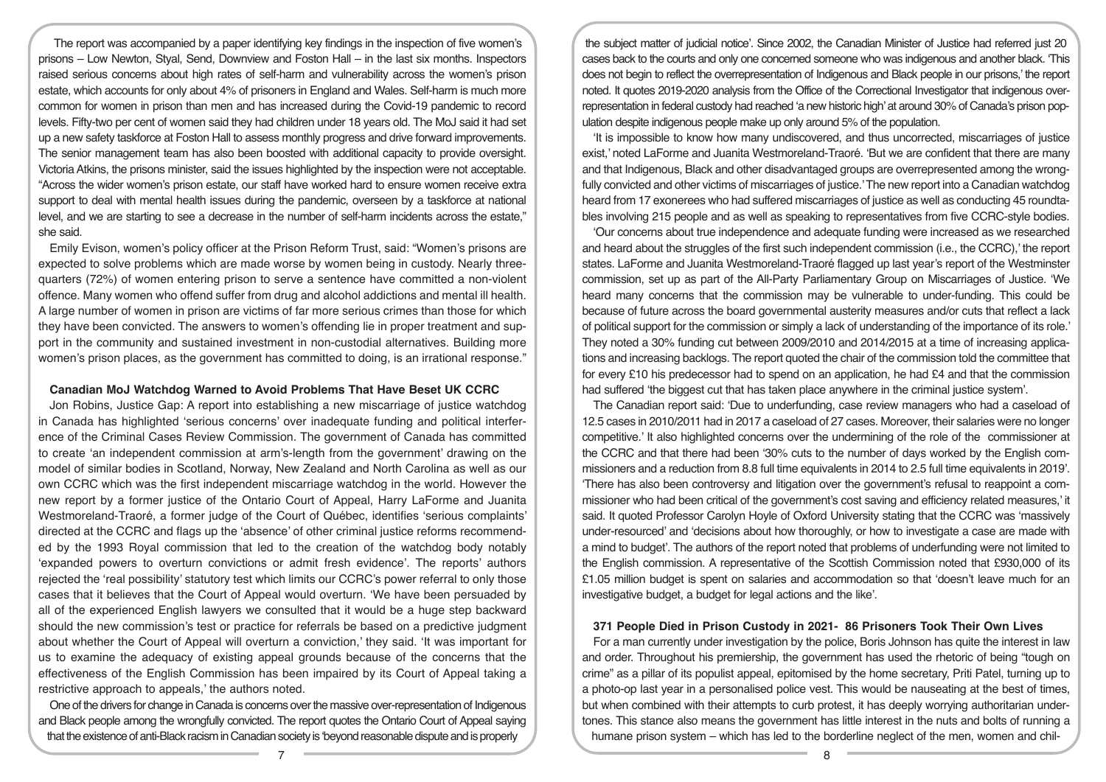The report was accompanied by a paper identifying key findings in the inspection of five women's prisons – Low Newton, Styal, Send, Downview and Foston Hall – in the last six months. Inspectors raised serious concerns about high rates of self-harm and vulnerability across the women's prison estate, which accounts for only about 4% of prisoners in England and Wales. Self-harm is much more common for women in prison than men and has increased during the Covid-19 pandemic to record levels. Fifty-two per cent of women said they had children under 18 years old. The MoJ said it had set up a new safety taskforce at Foston Hall to assess monthly progress and drive forward improvements. The senior management team has also been boosted with additional capacity to provide oversight. Victoria Atkins, the prisons minister, said the issues highlighted by the inspection were not acceptable. "Across the wider women's prison estate, our staff have worked hard to ensure women receive extra support to deal with mental health issues during the pandemic, overseen by a taskforce at national level, and we are starting to see a decrease in the number of self-harm incidents across the estate," she said.

Emily Evison, women's policy officer at the Prison Reform Trust, said: "Women's prisons are expected to solve problems which are made worse by women being in custody. Nearly threequarters (72%) of women entering prison to serve a sentence have committed a non-violent offence. Many women who offend suffer from drug and alcohol addictions and mental ill health. A large number of women in prison are victims of far more serious crimes than those for which they have been convicted. The answers to women's offending lie in proper treatment and support in the community and sustained investment in non-custodial alternatives. Building more women's prison places, as the government has committed to doing, is an irrational response."

## **Canadian MoJ Watchdog Warned to Avoid Problems That Have Beset UK CCRC**

Jon Robins, Justice Gap: A report into establishing a new miscarriage of justice watchdog in Canada has highlighted 'serious concerns' over inadequate funding and political interference of the Criminal Cases Review Commission. The government of Canada has committed to create 'an independent commission at arm's-length from the government' drawing on the model of similar bodies in Scotland, Norway, New Zealand and North Carolina as well as our own CCRC which was the first independent miscarriage watchdog in the world. However the new report by a former justice of the Ontario Court of Appeal, Harry LaForme and Juanita Westmoreland-Traoré, a former judge of the Court of Québec, identifies 'serious complaints' directed at the CCRC and flags up the 'absence' of other criminal justice reforms recommended by the 1993 Royal commission that led to the creation of the watchdog body notably 'expanded powers to overturn convictions or admit fresh evidence'. The reports' authors rejected the 'real possibility' statutory test which limits our CCRC's power referral to only those cases that it believes that the Court of Appeal would overturn. 'We have been persuaded by all of the experienced English lawyers we consulted that it would be a huge step backward should the new commission's test or practice for referrals be based on a predictive judgment about whether the Court of Appeal will overturn a conviction,' they said. 'It was important for us to examine the adequacy of existing appeal grounds because of the concerns that the effectiveness of the English Commission has been impaired by its Court of Appeal taking a restrictive approach to appeals,' the authors noted.

One of the drivers for change in Canada is concerns over the massive over-representation of Indigenous and Black people among the wrongfully convicted. The report quotes the Ontario Court of Appeal saying that the existence of anti-Black racism in Canadian society is 'beyond reasonable dispute and is properly

the subject matter of judicial notice'. Since 2002, the Canadian Minister of Justice had referred just 20 cases back to the courts and only one concerned someone who was indigenous and another black. 'This does not begin to reflect the overrepresentation of Indigenous and Black people in our prisons,' the report noted. It quotes 2019-2020 analysis from the Office of the Correctional Investigator that indigenous overrepresentation in federal custody had reached 'a new historic high' at around 30% of Canada's prison population despite indigenous people make up only around 5% of the population.

'It is impossible to know how many undiscovered, and thus uncorrected, miscarriages of justice exist,' noted LaForme and Juanita Westmoreland-Traoré. 'But we are confident that there are many and that Indigenous, Black and other disadvantaged groups are overrepresented among the wrongfully convicted and other victims of miscarriages of justice.' The new report into a Canadian watchdog heard from 17 exonerees who had suffered miscarriages of justice as well as conducting 45 roundtables involving 215 people and as well as speaking to representatives from five CCRC-style bodies.

'Our concerns about true independence and adequate funding were increased as we researched and heard about the struggles of the first such independent commission (i.e., the CCRC),' the report states. LaForme and Juanita Westmoreland-Traoré flagged up last year's report of the Westminster commission, set up as part of the All-Party Parliamentary Group on Miscarriages of Justice. 'We heard many concerns that the commission may be vulnerable to under-funding. This could be because of future across the board governmental austerity measures and/or cuts that reflect a lack of political support for the commission or simply a lack of understanding of the importance of its role.' They noted a 30% funding cut between 2009/2010 and 2014/2015 at a time of increasing applications and increasing backlogs. The report quoted the chair of the commission told the committee that for every £10 his predecessor had to spend on an application, he had £4 and that the commission had suffered 'the biggest cut that has taken place anywhere in the criminal justice system'.

The Canadian report said: 'Due to underfunding, case review managers who had a caseload of 12.5 cases in 2010/2011 had in 2017 a caseload of 27 cases. Moreover, their salaries were no longer competitive.' It also highlighted concerns over the undermining of the role of the commissioner at the CCRC and that there had been '30% cuts to the number of days worked by the English commissioners and a reduction from 8.8 full time equivalents in 2014 to 2.5 full time equivalents in 2019'. 'There has also been controversy and litigation over the government's refusal to reappoint a commissioner who had been critical of the government's cost saving and efficiency related measures,' it said. It quoted Professor Carolyn Hoyle of Oxford University stating that the CCRC was 'massively under-resourced' and 'decisions about how thoroughly, or how to investigate a case are made with a mind to budget'. The authors of the report noted that problems of underfunding were not limited to the English commission. A representative of the Scottish Commission noted that £930,000 of its £1.05 million budget is spent on salaries and accommodation so that 'doesn't leave much for an investigative budget, a budget for legal actions and the like'.

## **371 People Died in Prison Custody in 2021- 86 Prisoners Took Their Own Lives**

For a man currently under investigation by the police, Boris Johnson has quite the interest in law and order. Throughout his premiership, the government has used the rhetoric of being "tough on crime" as a pillar of its populist appeal, epitomised by the home secretary, Priti Patel, turning up to a photo-op last year in a personalised police vest. This would be nauseating at the best of times, but when combined with their attempts to curb protest, it has deeply worrying authoritarian undertones. This stance also means the government has little interest in the nuts and bolts of running a humane prison system – which has led to the borderline neglect of the men, women and chil-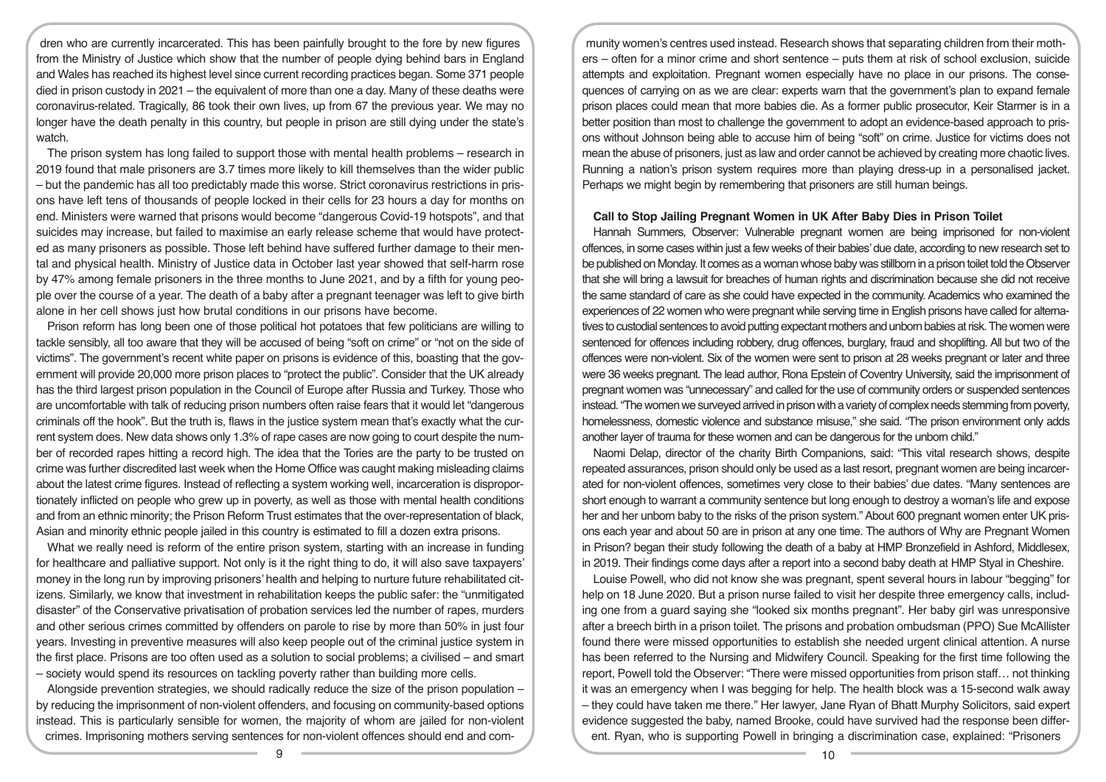dren who are currently incarcerated. This has been painfully brought to the fore by new figures from the Ministry of Justice which show that the number of people dying behind bars in England and Wales has reached its highest level since current recording practices began. Some 371 people died in prison custody in 2021 – the equivalent of more than one a day. Many of these deaths were coronavirus-related. Tragically, 86 took their own lives, up from 67 the previous year. We may no longer have the death penalty in this country, but people in prison are still dying under the state's watch.

The prison system has long failed to support those with mental health problems – research in 2019 found that male prisoners are 3.7 times more likely to kill themselves than the wider public – but the pandemic has all too predictably made this worse. Strict coronavirus restrictions in prisons have left tens of thousands of people locked in their cells for 23 hours a day for months on end. Ministers were warned that prisons would become "dangerous Covid-19 hotspots", and that suicides may increase, but failed to maximise an early release scheme that would have protected as many prisoners as possible. Those left behind have suffered further damage to their mental and physical health. Ministry of Justice data in October last year showed that self-harm rose by 47% among female prisoners in the three months to June 2021, and by a fifth for young people over the course of a year. The death of a baby after a pregnant teenager was left to give birth alone in her cell shows just how brutal conditions in our prisons have become.

Prison reform has long been one of those political hot potatoes that few politicians are willing to tackle sensibly, all too aware that they will be accused of being "soft on crime" or "not on the side of victims". The government's recent white paper on prisons is evidence of this, boasting that the government will provide 20,000 more prison places to "protect the public". Consider that the UK already has the third largest prison population in the Council of Europe after Russia and Turkey. Those who are uncomfortable with talk of reducing prison numbers often raise fears that it would let "dangerous criminals off the hook". But the truth is, flaws in the justice system mean that's exactly what the current system does. New data shows only 1.3% of rape cases are now going to court despite the number of recorded rapes hitting a record high. The idea that the Tories are the party to be trusted on crime was further discredited last week when the Home Office was caught making misleading claims about the latest crime figures. Instead of reflecting a system working well, incarceration is disproportionately inflicted on people who grew up in poverty, as well as those with mental health conditions and from an ethnic minority; the Prison Reform Trust estimates that the over-representation of black, Asian and minority ethnic people jailed in this country is estimated to fill a dozen extra prisons.

What we really need is reform of the entire prison system, starting with an increase in funding for healthcare and palliative support. Not only is it the right thing to do, it will also save taxpayers' money in the long run by improving prisoners' health and helping to nurture future rehabilitated citizens. Similarly, we know that investment in rehabilitation keeps the public safer: the "unmitigated disaster" of the Conservative privatisation of probation services led the number of rapes, murders and other serious crimes committed by offenders on parole to rise by more than 50% in just four years. Investing in preventive measures will also keep people out of the criminal justice system in the first place. Prisons are too often used as a solution to social problems; a civilised – and smart – society would spend its resources on tackling poverty rather than building more cells.

Alongside prevention strategies, we should radically reduce the size of the prison population – by reducing the imprisonment of non-violent offenders, and focusing on community-based options instead. This is particularly sensible for women, the majority of whom are jailed for non-violent crimes. Imprisoning mothers serving sentences for non-violent offences should end and com-

munity women's centres used instead. Research shows that separating children from their mothers – often for a minor crime and short sentence – puts them at risk of school exclusion, suicide attempts and exploitation. Pregnant women especially have no place in our prisons. The consequences of carrying on as we are clear: experts warn that the government's plan to expand female prison places could mean that more babies die. As a former public prosecutor, Keir Starmer is in a better position than most to challenge the government to adopt an evidence-based approach to prisons without Johnson being able to accuse him of being "soft" on crime. Justice for victims does not mean the abuse of prisoners, just as law and order cannot be achieved by creating more chaotic lives. Running a nation's prison system requires more than playing dress-up in a personalised jacket. Perhaps we might begin by remembering that prisoners are still human beings.

#### **Call to Stop Jailing Pregnant Women in UK After Baby Dies in Prison Toilet**

Hannah Summers, Observer: Vulnerable pregnant women are being imprisoned for non-violent offences, in some cases within just a few weeks of their babies' due date, according to new research set to be published on Monday. It comes as a woman whose baby was stillborn in a prison toilet told the Observer that she will bring a lawsuit for breaches of human rights and discrimination because she did not receive the same standard of care as she could have expected in the community. Academics who examined the experiences of 22 women who were pregnant while serving time in English prisons have called for alternatives to custodial sentences to avoid putting expectant mothers and unborn babies at risk. The women were sentenced for offences including robbery, drug offences, burglary, fraud and shoplifting. All but two of the offences were non-violent. Six of the women were sent to prison at 28 weeks pregnant or later and three were 36 weeks pregnant. The lead author, Rona Epstein of Coventry University, said the imprisonment of pregnant women was "unnecessary" and called for the use of community orders or suspended sentences instead. "The women we surveyed arrived in prison with a variety of complex needs stemming from poverty, homelessness, domestic violence and substance misuse," she said. "The prison environment only adds another layer of trauma for these women and can be dangerous for the unborn child."

Naomi Delap, director of the charity Birth Companions, said: "This vital research shows, despite repeated assurances, prison should only be used as a last resort, pregnant women are being incarcerated for non-violent offences, sometimes very close to their babies' due dates. "Many sentences are short enough to warrant a community sentence but long enough to destroy a woman's life and expose her and her unborn baby to the risks of the prison system." About 600 pregnant women enter UK prisons each year and about 50 are in prison at any one time. The authors of Why are Pregnant Women in Prison? began their study following the death of a baby at HMP Bronzefield in Ashford, Middlesex, in 2019. Their findings come days after a report into a second baby death at HMP Styal in Cheshire.

Louise Powell, who did not know she was pregnant, spent several hours in labour "begging" for help on 18 June 2020. But a prison nurse failed to visit her despite three emergency calls, including one from a guard saying she "looked six months pregnant". Her baby girl was unresponsive after a breech birth in a prison toilet. The prisons and probation ombudsman (PPO) Sue McAllister found there were missed opportunities to establish she needed urgent clinical attention. A nurse has been referred to the Nursing and Midwifery Council. Speaking for the first time following the report, Powell told the Observer: "There were missed opportunities from prison staff… not thinking it was an emergency when I was begging for help. The health block was a 15-second walk away – they could have taken me there." Her lawyer, Jane Ryan of Bhatt Murphy Solicitors, said expert evidence suggested the baby, named Brooke, could have survived had the response been different. Ryan, who is supporting Powell in bringing a discrimination case, explained: "Prisoners